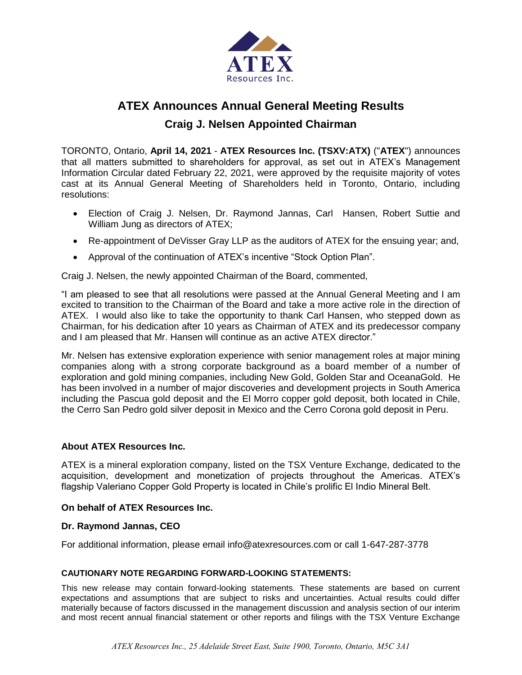

# **ATEX Announces Annual General Meeting Results**

**Craig J. Nelsen Appointed Chairman**

TORONTO, Ontario, **April 14, 2021** - **ATEX Resources Inc. (TSXV:ATX)** ("**ATEX**") announces that all matters submitted to shareholders for approval, as set out in ATEX's Management Information Circular dated February 22, 2021, were approved by the requisite majority of votes cast at its Annual General Meeting of Shareholders held in Toronto, Ontario, including resolutions:

- Election of Craig J. Nelsen, Dr. Raymond Jannas, Carl Hansen, Robert Suttie and William Jung as directors of ATEX;
- Re-appointment of DeVisser Gray LLP as the auditors of ATEX for the ensuing year; and,
- Approval of the continuation of ATEX's incentive "Stock Option Plan".

Craig J. Nelsen, the newly appointed Chairman of the Board, commented,

"I am pleased to see that all resolutions were passed at the Annual General Meeting and I am excited to transition to the Chairman of the Board and take a more active role in the direction of ATEX. I would also like to take the opportunity to thank Carl Hansen, who stepped down as Chairman, for his dedication after 10 years as Chairman of ATEX and its predecessor company and I am pleased that Mr. Hansen will continue as an active ATEX director."

Mr. Nelsen has extensive exploration experience with senior management roles at major mining companies along with a strong corporate background as a board member of a number of exploration and gold mining companies, including New Gold, Golden Star and OceanaGold. He has been involved in a number of major discoveries and development projects in South America including the Pascua gold deposit and the El Morro copper gold deposit, both located in Chile, the Cerro San Pedro gold silver deposit in Mexico and the Cerro Corona gold deposit in Peru.

## **About ATEX Resources Inc.**

ATEX is a mineral exploration company, listed on the TSX Venture Exchange, dedicated to the acquisition, development and monetization of projects throughout the Americas. ATEX's flagship Valeriano Copper Gold Property is located in Chile's prolific El Indio Mineral Belt.

### **On behalf of ATEX Resources Inc.**

### **Dr. Raymond Jannas, CEO**

For additional information, please email info@atexresources.com or call 1-647-287-3778

### **CAUTIONARY NOTE REGARDING FORWARD-LOOKING STATEMENTS:**

This new release may contain forward-looking statements. These statements are based on current expectations and assumptions that are subject to risks and uncertainties. Actual results could differ materially because of factors discussed in the management discussion and analysis section of our interim and most recent annual financial statement or other reports and filings with the TSX Venture Exchange